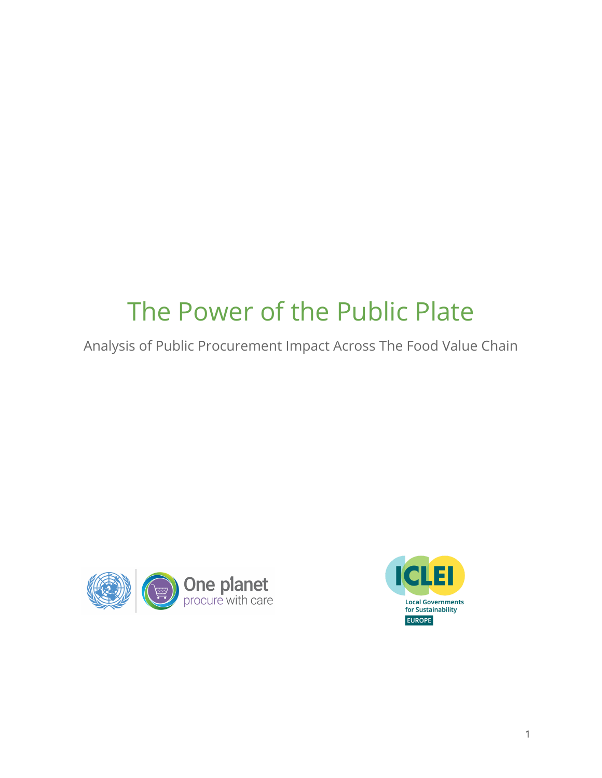# The Power of the Public Plate

Analysis of Public Procurement Impact Across The Food Value Chain



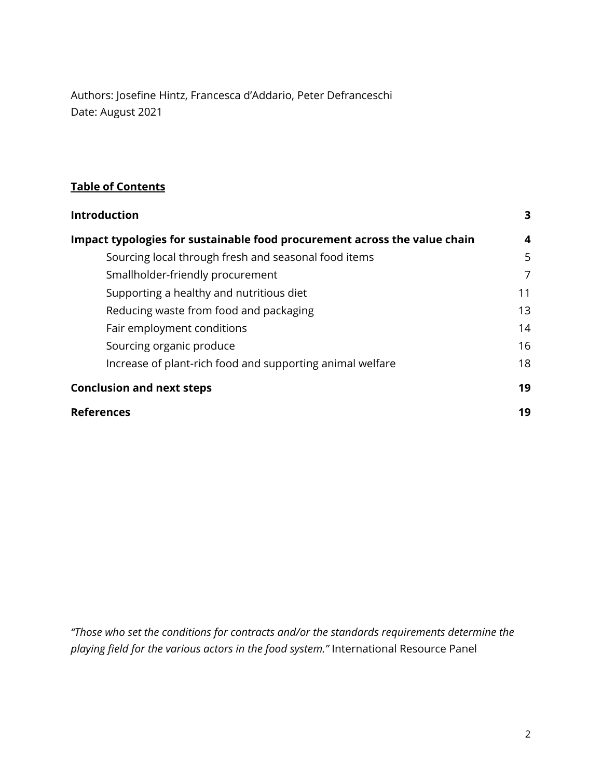Authors: Josefine Hintz, Francesca d'Addario, Peter Defranceschi Date: August 2021

### **Table of Contents**

| <b>Introduction</b>                                                       | 3  |
|---------------------------------------------------------------------------|----|
| Impact typologies for sustainable food procurement across the value chain | 4  |
| Sourcing local through fresh and seasonal food items                      | 5  |
| Smallholder-friendly procurement                                          | 7  |
| Supporting a healthy and nutritious diet                                  | 11 |
| Reducing waste from food and packaging                                    | 13 |
| Fair employment conditions                                                | 14 |
| Sourcing organic produce                                                  | 16 |
| Increase of plant-rich food and supporting animal welfare                 | 18 |
| <b>Conclusion and next steps</b>                                          | 19 |
| <b>References</b>                                                         | 19 |

*"Those who set the conditions for contracts and/or the standards requirements determine the playing field for the various actors in the food system."* International Resource Panel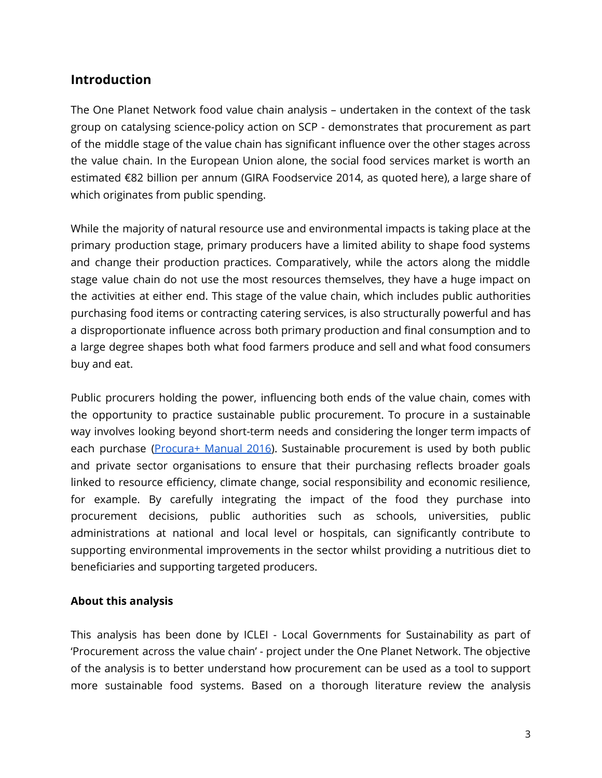# <span id="page-2-0"></span>**Introduction**

The One Planet Network food value chain analysis – undertaken in the context of the task group on catalysing science-policy action on SCP - demonstrates that procurement as part of the middle stage of the value chain has significant influence over the other stages across the value chain. In the European Union alone, the social food services market is worth an estimated €82 billion per annum (GIRA Foodservice 2014, as quoted here), a large share of which originates from public spending.

While the majority of natural resource use and environmental impacts is taking place at the primary production stage, primary producers have a limited ability to shape food systems and change their production practices. Comparatively, while the actors along the middle stage value chain do not use the most resources themselves, they have a huge impact on the activities at either end. This stage of the value chain, which includes public authorities purchasing food items or contracting catering services, is also structurally powerful and has a disproportionate influence across both primary production and final consumption and to a large degree shapes both what food farmers produce and sell and what food consumers buy and eat.

Public procurers holding the power, influencing both ends of the value chain, comes with the opportunity to practice sustainable public procurement. To procure in a sustainable way involves looking beyond short-term needs and considering the longer term impacts of each purchase [\(Procura+](https://procuraplus.org/manual/) Manual 2016). Sustainable procurement is used by both public and private sector organisations to ensure that their purchasing reflects broader goals linked to resource efficiency, climate change, social responsibility and economic resilience, for example. By carefully integrating the impact of the food they purchase into procurement decisions, public authorities such as schools, universities, public administrations at national and local level or hospitals, can significantly contribute to supporting environmental improvements in the sector whilst providing a nutritious diet to beneficiaries and supporting targeted producers.

#### **About this analysis**

This analysis has been done by ICLEI - Local Governments for Sustainability as part of 'Procurement across the value chain' - project under the One Planet Network. The objective of the analysis is to better understand how procurement can be used as a tool to support more sustainable food systems. Based on a thorough literature review the analysis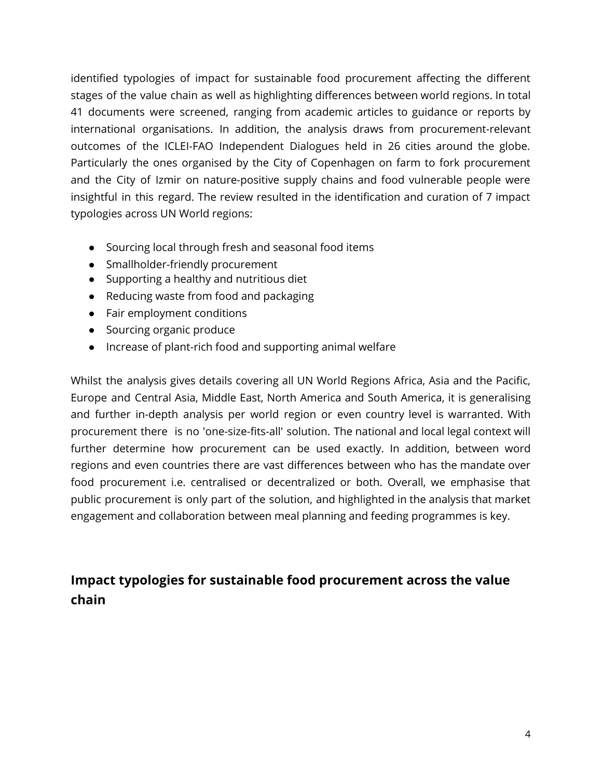identified typologies of impact for sustainable food procurement affecting the different stages of the value chain as well as highlighting differences between world regions. In total 41 documents were screened, ranging from academic articles to guidance or reports by international organisations. In addition, the analysis draws from procurement-relevant outcomes of the ICLEI-FAO Independent Dialogues held in 26 cities around the globe. Particularly the ones organised by the City of Copenhagen on farm to fork procurement and the City of Izmir on nature-positive supply chains and food vulnerable people were insightful in this regard. The review resulted in the identification and curation of 7 impact typologies across UN World regions:

- Sourcing local through fresh and seasonal food items
- Smallholder-friendly procurement
- Supporting a healthy and nutritious diet
- Reducing waste from food and packaging
- Fair employment conditions
- Sourcing organic produce
- Increase of plant-rich food and supporting animal welfare

Whilst the analysis gives details covering all UN World Regions Africa, Asia and the Pacific, Europe and Central Asia, Middle East, North America and South America, it is generalising and further in-depth analysis per world region or even country level is warranted. With procurement there is no 'one-size-fits-all' solution. The national and local legal context will further determine how procurement can be used exactly. In addition, between word regions and even countries there are vast differences between who has the mandate over food procurement i.e. centralised or decentralized or both. Overall, we emphasise that public procurement is only part of the solution, and highlighted in the analysis that market engagement and collaboration between meal planning and feeding programmes is key.

<span id="page-3-0"></span>**Impact typologies for sustainable food procurement across the value chain**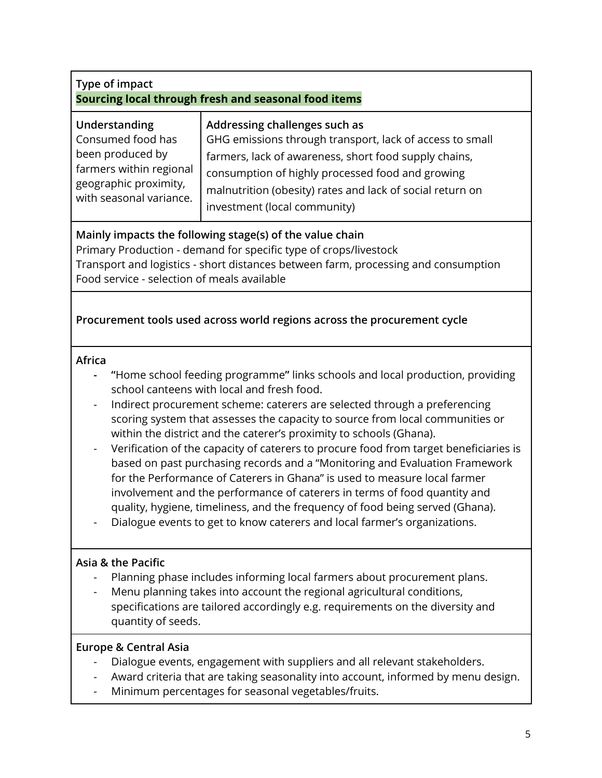<span id="page-4-0"></span>

| Type of impact<br>Sourcing local through fresh and seasonal food items                                                                                                                                                                                                                                                                                                                                                                                                                                                                                                                                                                                                                                                                                                                                                                                                                          |                                                                                                                                                                                                                                                                                                     |  |
|-------------------------------------------------------------------------------------------------------------------------------------------------------------------------------------------------------------------------------------------------------------------------------------------------------------------------------------------------------------------------------------------------------------------------------------------------------------------------------------------------------------------------------------------------------------------------------------------------------------------------------------------------------------------------------------------------------------------------------------------------------------------------------------------------------------------------------------------------------------------------------------------------|-----------------------------------------------------------------------------------------------------------------------------------------------------------------------------------------------------------------------------------------------------------------------------------------------------|--|
| Understanding<br>Consumed food has<br>been produced by<br>farmers within regional<br>geographic proximity,<br>with seasonal variance.                                                                                                                                                                                                                                                                                                                                                                                                                                                                                                                                                                                                                                                                                                                                                           | Addressing challenges such as<br>GHG emissions through transport, lack of access to small<br>farmers, lack of awareness, short food supply chains,<br>consumption of highly processed food and growing<br>malnutrition (obesity) rates and lack of social return on<br>investment (local community) |  |
| Mainly impacts the following stage(s) of the value chain<br>Primary Production - demand for specific type of crops/livestock<br>Transport and logistics - short distances between farm, processing and consumption<br>Food service - selection of meals available                                                                                                                                                                                                                                                                                                                                                                                                                                                                                                                                                                                                                               |                                                                                                                                                                                                                                                                                                     |  |
|                                                                                                                                                                                                                                                                                                                                                                                                                                                                                                                                                                                                                                                                                                                                                                                                                                                                                                 | Procurement tools used across world regions across the procurement cycle                                                                                                                                                                                                                            |  |
| Africa<br>"Home school feeding programme" links schools and local production, providing<br>school canteens with local and fresh food.<br>Indirect procurement scheme: caterers are selected through a preferencing<br>scoring system that assesses the capacity to source from local communities or<br>within the district and the caterer's proximity to schools (Ghana).<br>Verification of the capacity of caterers to procure food from target beneficiaries is<br>$\qquad \qquad -$<br>based on past purchasing records and a "Monitoring and Evaluation Framework<br>for the Performance of Caterers in Ghana" is used to measure local farmer<br>involvement and the performance of caterers in terms of food quantity and<br>quality, hygiene, timeliness, and the frequency of food being served (Ghana).<br>Dialogue events to get to know caterers and local farmer's organizations. |                                                                                                                                                                                                                                                                                                     |  |
| Asia & the Pacific<br>Planning phase includes informing local farmers about procurement plans.<br>Menu planning takes into account the regional agricultural conditions,<br>specifications are tailored accordingly e.g. requirements on the diversity and<br>quantity of seeds.                                                                                                                                                                                                                                                                                                                                                                                                                                                                                                                                                                                                                |                                                                                                                                                                                                                                                                                                     |  |
| <b>Europe &amp; Central Asia</b><br>Dialogue events, engagement with suppliers and all relevant stakeholders.<br>Award criteria that are taking seasonality into account, informed by menu design.<br>Minimum percentages for seasonal vegetables/fruits.<br>-                                                                                                                                                                                                                                                                                                                                                                                                                                                                                                                                                                                                                                  |                                                                                                                                                                                                                                                                                                     |  |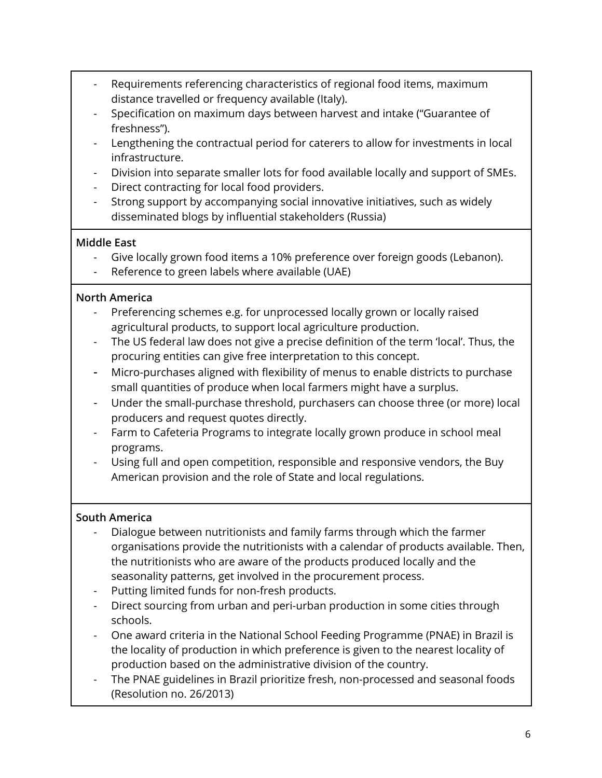- Requirements referencing characteristics of regional food items, maximum distance travelled or frequency available (Italy).
- Specification on maximum days between harvest and intake ("Guarantee of freshness").
- Lengthening the contractual period for caterers to allow for investments in local infrastructure.
- Division into separate smaller lots for food available locally and support of SMEs.
- Direct contracting for local food providers.
- Strong support by accompanying social innovative initiatives, such as widely disseminated blogs by influential stakeholders (Russia)

## **Middle East**

- Give locally grown food items a 10% preference over foreign goods (Lebanon).
- Reference to green labels where available (UAE)

## **North America**

- Preferencing schemes e.g. for unprocessed locally grown or locally raised agricultural products, to support local agriculture production.
- The US federal law does not give a precise definition of the term 'local'. Thus, the procuring entities can give free interpretation to this concept.
- **-** Micro-purchases aligned with flexibility of menus to enable districts to purchase small quantities of produce when local farmers might have a surplus.
- Under the small-purchase threshold, purchasers can choose three (or more) local producers and request quotes directly.
- Farm to Cafeteria Programs to integrate locally grown produce in school meal programs.
- Using full and open competition, responsible and responsive vendors, the Buy American provision and the role of State and local regulations.

## **South America**

- Dialogue between nutritionists and family farms through which the farmer organisations provide the nutritionists with a calendar of products available. Then, the nutritionists who are aware of the products produced locally and the seasonality patterns, get involved in the procurement process.
- Putting limited funds for non-fresh products.
- Direct sourcing from urban and peri-urban production in some cities through schools.
- One award criteria in the National School Feeding Programme (PNAE) in Brazil is the locality of production in which preference is given to the nearest locality of production based on the administrative division of the country.
- The PNAE guidelines in Brazil prioritize fresh, non-processed and seasonal foods (Resolution no. 26/2013)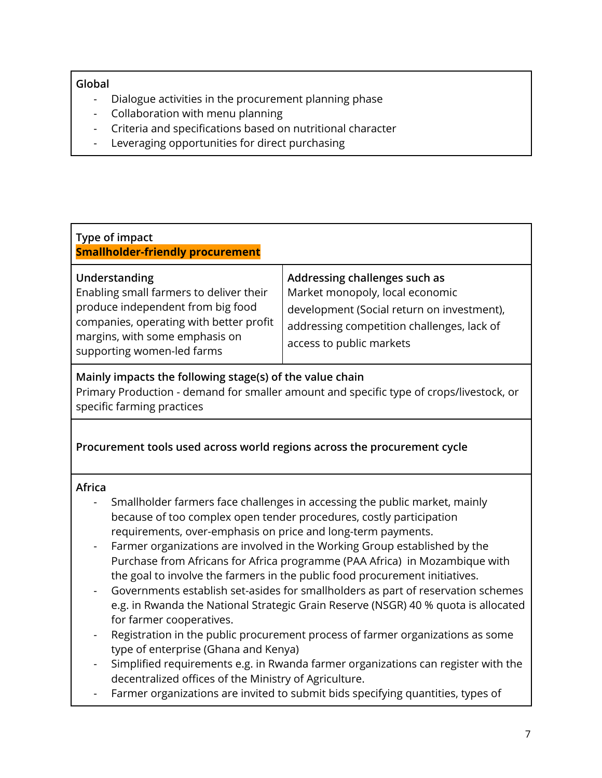#### **Global**

- Dialogue activities in the procurement planning phase
- Collaboration with menu planning
- Criteria and specifications based on nutritional character
- Leveraging opportunities for direct purchasing

<span id="page-6-0"></span>

| Type of impact<br><b>Smallholder-friendly procurement</b>                                                                                                                                                |                                                                                                                                                                                          |  |
|----------------------------------------------------------------------------------------------------------------------------------------------------------------------------------------------------------|------------------------------------------------------------------------------------------------------------------------------------------------------------------------------------------|--|
| Understanding<br>Enabling small farmers to deliver their<br>produce independent from big food<br>companies, operating with better profit<br>margins, with some emphasis on<br>supporting women-led farms | Addressing challenges such as<br>Market monopoly, local economic<br>development (Social return on investment),<br>addressing competition challenges, lack of<br>access to public markets |  |
| Mainly impacts the following stage(s) of the value chain<br>Primary Production - demand for smaller amount and specific type of crops/livestock, or<br>specific farming practices                        |                                                                                                                                                                                          |  |

### **Procurement tools used across world regions across the procurement cycle**

#### **Africa**

- Smallholder farmers face challenges in accessing the public market, mainly because of too complex open tender procedures, costly participation requirements, over-emphasis on price and long-term payments.
- Farmer organizations are involved in the Working Group established by the Purchase from Africans for Africa programme (PAA Africa) in Mozambique with the goal to involve the farmers in the public food procurement initiatives.
- Governments establish set-asides for smallholders as part of reservation schemes e.g. in Rwanda the National Strategic Grain Reserve (NSGR) 40 % quota is allocated for farmer cooperatives.
- Registration in the public procurement process of farmer organizations as some type of enterprise (Ghana and Kenya)
- Simplified requirements e.g. in Rwanda farmer organizations can register with the decentralized offices of the Ministry of Agriculture.
- Farmer organizations are invited to submit bids specifying quantities, types of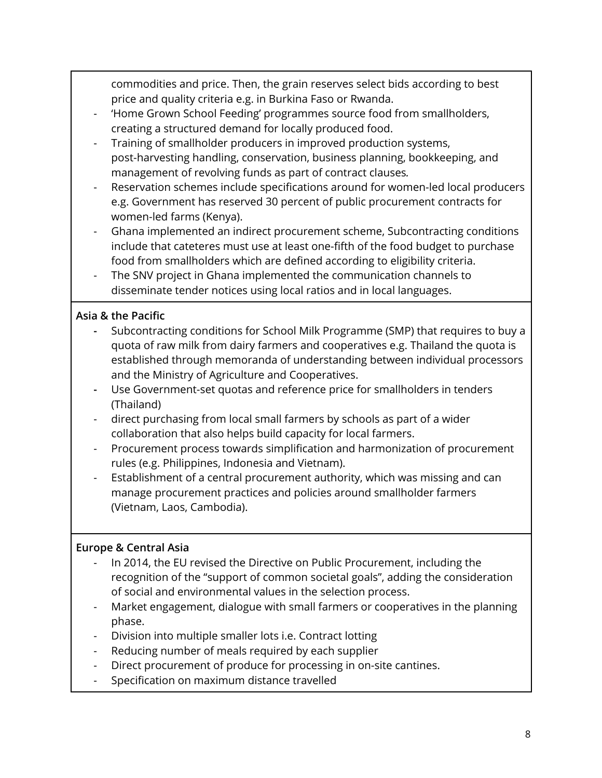commodities and price. Then, the grain reserves select bids according to best price and quality criteria e.g. in Burkina Faso or Rwanda.

- 'Home Grown School Feeding' programmes source food from smallholders, creating a structured demand for locally produced food.
- Training of smallholder producers in improved production systems, post-harvesting handling, conservation, business planning, bookkeeping, and management of revolving funds as part of contract clauses*.*
- Reservation schemes include specifications around for women-led local producers e.g. Government has reserved 30 percent of public procurement contracts for women-led farms (Kenya).
- Ghana implemented an indirect procurement scheme, Subcontracting conditions include that cateteres must use at least one-fifth of the food budget to purchase food from smallholders which are defined according to eligibility criteria.
- The SNV project in Ghana implemented the communication channels to disseminate tender notices using local ratios and in local languages.

## **Asia & the Pacific**

- **-** Subcontracting conditions for School Milk Programme (SMP) that requires to buy a quota of raw milk from dairy farmers and cooperatives e.g. Thailand the quota is established through memoranda of understanding between individual processors and the Ministry of Agriculture and Cooperatives.
- **-** Use Government-set quotas and reference price for smallholders in tenders (Thailand)
- direct purchasing from local small farmers by schools as part of a wider collaboration that also helps build capacity for local farmers.
- Procurement process towards simplification and harmonization of procurement rules (e.g. Philippines, Indonesia and Vietnam).
- Establishment of a central procurement authority, which was missing and can manage procurement practices and policies around smallholder farmers (Vietnam, Laos, Cambodia).

## **Europe & Central Asia**

- In 2014, the EU revised the Directive on Public Procurement, including the recognition of the "support of common societal goals", adding the consideration of social and environmental values in the selection process.
- Market engagement, dialogue with small farmers or cooperatives in the planning phase.
- Division into multiple smaller lots i.e. Contract lotting
- Reducing number of meals required by each supplier
- Direct procurement of produce for processing in on-site cantines.
- Specification on maximum distance travelled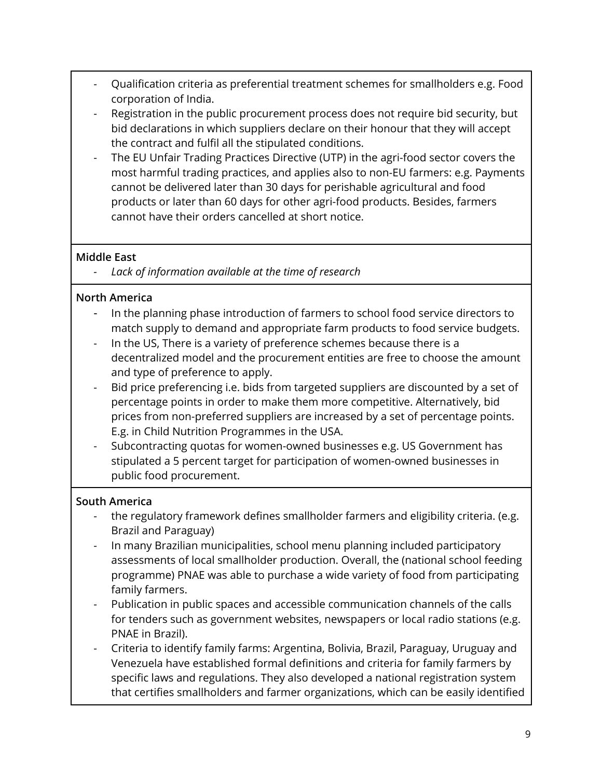- Qualification criteria as preferential treatment schemes for smallholders e.g. Food corporation of India.
- Registration in the public procurement process does not require bid security, but bid declarations in which suppliers declare on their honour that they will accept the contract and fulfil all the stipulated conditions.
- The EU Unfair Trading Practices Directive (UTP) in the agri-food sector covers the most harmful trading practices, and applies also to non-EU farmers: e.g. Payments cannot be delivered later than 30 days for perishable agricultural and food products or later than 60 days for other agri-food products. Besides, farmers cannot have their orders cancelled at short notice.

### **Middle East**

*- Lack of information available at the time of research*

## **North America**

- In the planning phase introduction of farmers to school food service directors to match supply to demand and appropriate farm products to food service budgets.
- In the US, There is a variety of preference schemes because there is a decentralized model and the procurement entities are free to choose the amount and type of preference to apply.
- Bid price preferencing i.e. bids from targeted suppliers are discounted by a set of percentage points in order to make them more competitive. Alternatively, bid prices from non-preferred suppliers are increased by a set of percentage points. E.g. in Child Nutrition Programmes in the USA.
- Subcontracting quotas for women-owned businesses e.g. US Government has stipulated a 5 percent target for participation of women-owned businesses in public food procurement.

## **South America**

- the regulatory framework defines smallholder farmers and eligibility criteria. (e.g. Brazil and Paraguay)
- In many Brazilian municipalities, school menu planning included participatory assessments of local smallholder production. Overall, the (national school feeding programme) PNAE was able to purchase a wide variety of food from participating family farmers.
- Publication in public spaces and accessible communication channels of the calls for tenders such as government websites, newspapers or local radio stations (e.g. PNAE in Brazil).
- Criteria to identify family farms: Argentina, Bolivia, Brazil, Paraguay, Uruguay and Venezuela have established formal definitions and criteria for family farmers by specific laws and regulations. They also developed a national registration system that certifies smallholders and farmer organizations, which can be easily identified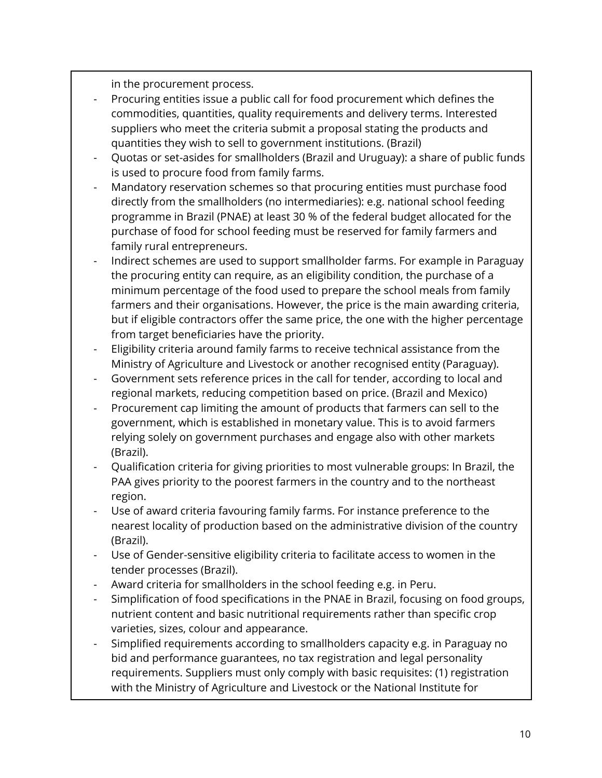in the procurement process.

- Procuring entities issue a public call for food procurement which defines the commodities, quantities, quality requirements and delivery terms. Interested suppliers who meet the criteria submit a proposal stating the products and quantities they wish to sell to government institutions. (Brazil)
- Quotas or set-asides for smallholders (Brazil and Uruguay): a share of public funds is used to procure food from family farms.
- Mandatory reservation schemes so that procuring entities must purchase food directly from the smallholders (no intermediaries): e.g. national school feeding programme in Brazil (PNAE) at least 30 % of the federal budget allocated for the purchase of food for school feeding must be reserved for family farmers and family rural entrepreneurs.
- Indirect schemes are used to support smallholder farms. For example in Paraguay the procuring entity can require, as an eligibility condition, the purchase of a minimum percentage of the food used to prepare the school meals from family farmers and their organisations. However, the price is the main awarding criteria, but if eligible contractors offer the same price, the one with the higher percentage from target beneficiaries have the priority.
- Eligibility criteria around family farms to receive technical assistance from the Ministry of Agriculture and Livestock or another recognised entity (Paraguay).
- Government sets reference prices in the call for tender, according to local and regional markets, reducing competition based on price. (Brazil and Mexico)
- Procurement cap limiting the amount of products that farmers can sell to the government, which is established in monetary value. This is to avoid farmers relying solely on government purchases and engage also with other markets (Brazil).
- Qualification criteria for giving priorities to most vulnerable groups: In Brazil, the PAA gives priority to the poorest farmers in the country and to the northeast region.
- Use of award criteria favouring family farms. For instance preference to the nearest locality of production based on the administrative division of the country (Brazil).
- Use of Gender-sensitive eligibility criteria to facilitate access to women in the tender processes (Brazil).
- Award criteria for smallholders in the school feeding e.g. in Peru.
- Simplification of food specifications in the PNAE in Brazil, focusing on food groups, nutrient content and basic nutritional requirements rather than specific crop varieties, sizes, colour and appearance.
- Simplified requirements according to smallholders capacity e.g. in Paraguay no bid and performance guarantees, no tax registration and legal personality requirements. Suppliers must only comply with basic requisites: (1) registration with the Ministry of Agriculture and Livestock or the National Institute for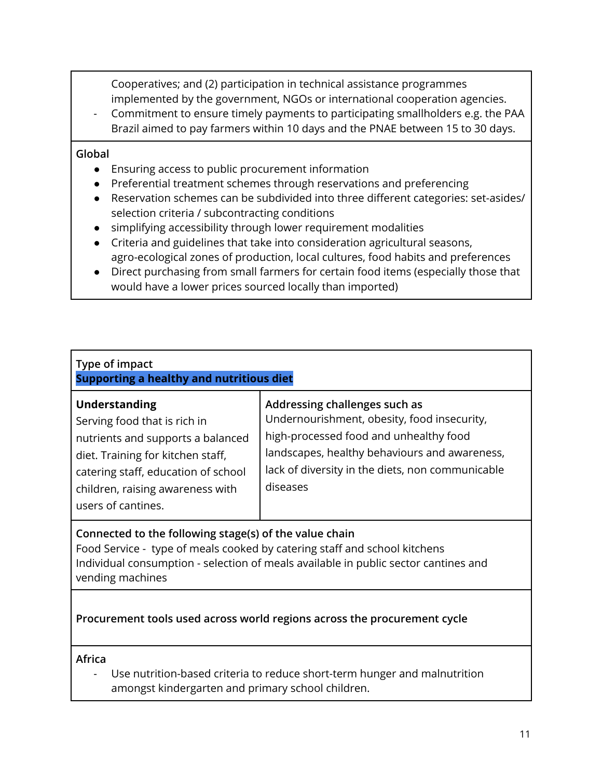Cooperatives; and (2) participation in technical assistance programmes implemented by the government, NGOs or international cooperation agencies.

- Commitment to ensure timely payments to participating smallholders e.g. the PAA Brazil aimed to pay farmers within 10 days and the PNAE between 15 to 30 days.

#### **Global**

- Ensuring access to public procurement information
- Preferential treatment schemes through reservations and preferencing
- Reservation schemes can be subdivided into three different categories: set-asides/ selection criteria / subcontracting conditions
- simplifying accessibility through lower requirement modalities
- Criteria and guidelines that take into consideration agricultural seasons, agro-ecological zones of production, local cultures, food habits and preferences
- Direct purchasing from small farmers for certain food items (especially those that would have a lower prices sourced locally than imported)

<span id="page-10-0"></span>

| Type of impact<br>Supporting a healthy and nutritious diet                                                                                                                                                               |                                                                                                                                                                                                                                         |  |
|--------------------------------------------------------------------------------------------------------------------------------------------------------------------------------------------------------------------------|-----------------------------------------------------------------------------------------------------------------------------------------------------------------------------------------------------------------------------------------|--|
| Understanding<br>Serving food that is rich in<br>nutrients and supports a balanced<br>diet. Training for kitchen staff,<br>catering staff, education of school<br>children, raising awareness with<br>users of cantines. | Addressing challenges such as<br>Undernourishment, obesity, food insecurity,<br>high-processed food and unhealthy food<br>landscapes, healthy behaviours and awareness,<br>lack of diversity in the diets, non communicable<br>diseases |  |

## **Connected to the following stage(s) of the value chain**

Food Service - type of meals cooked by catering staff and school kitchens Individual consumption - selection of meals available in public sector cantines and vending machines

## **Procurement tools used across world regions across the procurement cycle**

**Africa**

- Use nutrition-based criteria to reduce short-term hunger and malnutrition amongst kindergarten and primary school children.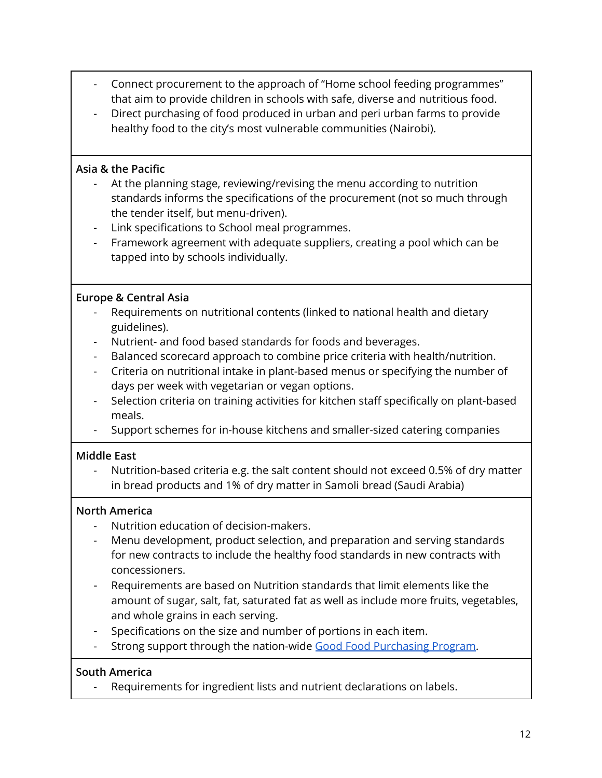- Connect procurement to the approach of "Home school feeding programmes" that aim to provide children in schools with safe, diverse and nutritious food.
- Direct purchasing of food produced in urban and peri urban farms to provide healthy food to the city's most vulnerable communities (Nairobi).

#### **Asia & the Pacific**

- At the planning stage, reviewing/revising the menu according to nutrition standards informs the specifications of the procurement (not so much through the tender itself, but menu-driven).
- Link specifications to School meal programmes.
- Framework agreement with adequate suppliers, creating a pool which can be tapped into by schools individually.

#### **Europe & Central Asia**

- Requirements on nutritional contents (linked to national health and dietary guidelines).
- Nutrient- and food based standards for foods and beverages.
- Balanced scorecard approach to combine price criteria with health/nutrition.
- Criteria on nutritional intake in plant-based menus or specifying the number of days per week with vegetarian or vegan options.
- Selection criteria on training activities for kitchen staff specifically on plant-based meals.
- Support schemes for in-house kitchens and smaller-sized catering companies

### **Middle East**

Nutrition-based criteria e.g. the salt content should not exceed 0.5% of dry matter in bread products and 1% of dry matter in Samoli bread (Saudi Arabia)

#### **North America**

- Nutrition education of decision-makers.
- Menu development, product selection, and preparation and serving standards for new contracts to include the healthy food standards in new contracts with concessioners.
- Requirements are based on Nutrition standards that limit elements like the amount of sugar, salt, fat, saturated fat as well as include more fruits, vegetables, and whole grains in each serving.
- Specifications on the size and number of portions in each item.
- Strong support through the nation-wide Good Food [Purchasing](https://goodfoodpurchasing.org/program-overview/) Program.

#### **South America**

Requirements for ingredient lists and nutrient declarations on labels.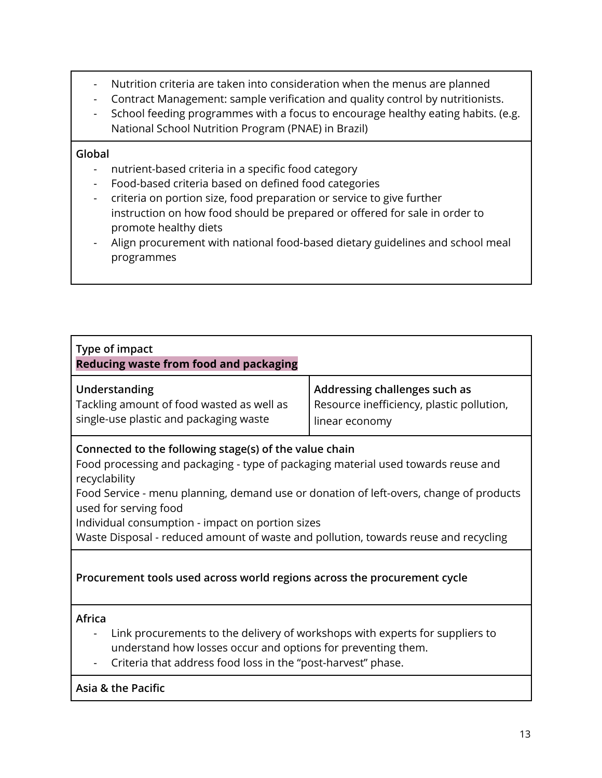- Nutrition criteria are taken into consideration when the menus are planned
- Contract Management: sample verification and quality control by nutritionists.
- School feeding programmes with a focus to encourage healthy eating habits. (e.g. National School Nutrition Program (PNAE) in Brazil)

#### **Global**

- nutrient-based criteria in a specific food category
- Food-based criteria based on defined food categories
- criteria on portion size, food preparation or service to give further instruction on how food should be prepared or offered for sale in order to promote healthy diets
- Align procurement with national food-based dietary guidelines and school meal programmes

<span id="page-12-0"></span>

| Type of impact<br><b>Reducing waste from food and packaging</b>                                                                                                                                                                                                                                                                                                                                                            |                                                                                              |  |
|----------------------------------------------------------------------------------------------------------------------------------------------------------------------------------------------------------------------------------------------------------------------------------------------------------------------------------------------------------------------------------------------------------------------------|----------------------------------------------------------------------------------------------|--|
| Understanding<br>Tackling amount of food wasted as well as<br>single-use plastic and packaging waste                                                                                                                                                                                                                                                                                                                       | Addressing challenges such as<br>Resource inefficiency, plastic pollution,<br>linear economy |  |
| Connected to the following stage(s) of the value chain<br>Food processing and packaging - type of packaging material used towards reuse and<br>recyclability<br>Food Service - menu planning, demand use or donation of left-overs, change of products<br>used for serving food<br>Individual consumption - impact on portion sizes<br>Waste Disposal - reduced amount of waste and pollution, towards reuse and recycling |                                                                                              |  |
| Procurement tools used across world regions across the procurement cycle                                                                                                                                                                                                                                                                                                                                                   |                                                                                              |  |
| <b>Africa</b><br>Link procurements to the delivery of workshops with experts for suppliers to<br>understand how losses occur and options for preventing them.<br>Criteria that address food loss in the "post-harvest" phase.                                                                                                                                                                                              |                                                                                              |  |
| Asia & the Pacific                                                                                                                                                                                                                                                                                                                                                                                                         |                                                                                              |  |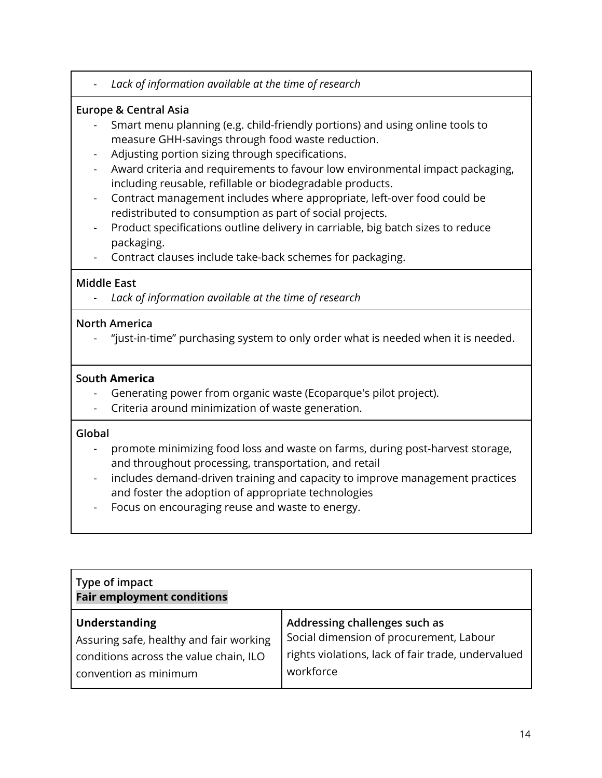*- Lack of information available at the time of research*

### **Europe & Central Asia**

- Smart menu planning (e.g. child-friendly portions) and using online tools to measure GHH-savings through food waste reduction.
- Adjusting portion sizing through specifications.
- Award criteria and requirements to favour low environmental impact packaging, including reusable, refillable or biodegradable products.
- Contract management includes where appropriate, left-over food could be redistributed to consumption as part of social projects.
- Product specifications outline delivery in carriable, big batch sizes to reduce packaging.
- Contract clauses include take-back schemes for packaging.

#### **Middle East**

*- Lack of information available at the time of research*

#### **North America**

"just-in-time" purchasing system to only order what is needed when it is needed.

#### **South America**

- Generating power from organic waste (Ecoparque's pilot project).
- Criteria around minimization of waste generation.

#### **Global**

- promote minimizing food loss and waste on farms, during post-harvest storage, and throughout processing, transportation, and retail
- includes demand-driven training and capacity to improve management practices and foster the adoption of appropriate technologies
- Focus on encouraging reuse and waste to energy.

<span id="page-13-0"></span>

| Type of impact<br><b>Fair employment conditions</b> |                                                    |  |
|-----------------------------------------------------|----------------------------------------------------|--|
| Understanding                                       | Addressing challenges such as                      |  |
| Assuring safe, healthy and fair working             | Social dimension of procurement, Labour            |  |
| conditions across the value chain, ILO              | rights violations, lack of fair trade, undervalued |  |
| $\mid$ convention as minimum                        | workforce                                          |  |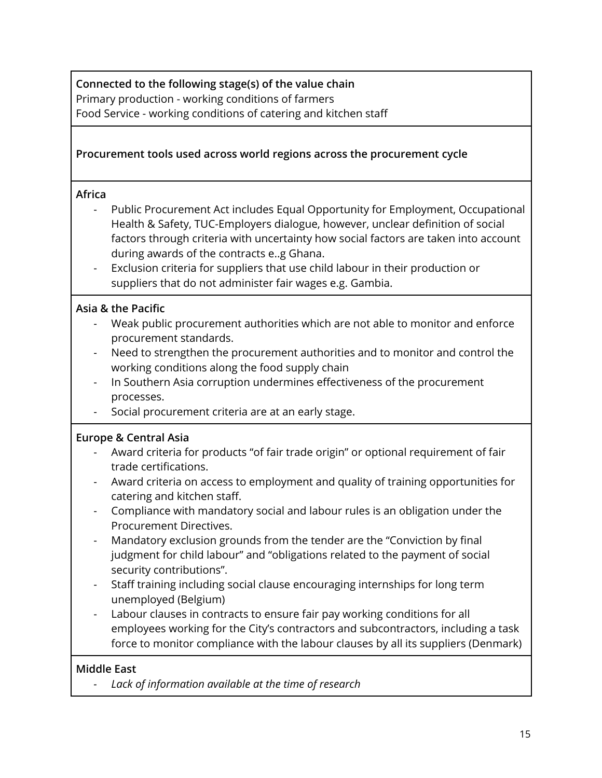**Connected to the following stage(s) of the value chain** Primary production - working conditions of farmers Food Service - working conditions of catering and kitchen staff

### **Procurement tools used across world regions across the procurement cycle**

#### **Africa**

- Public Procurement Act includes Equal Opportunity for Employment, Occupational Health & Safety, TUC-Employers dialogue, however, unclear definition of social factors through criteria with uncertainty how social factors are taken into account during awards of the contracts e..g Ghana.
- Exclusion criteria for suppliers that use child labour in their production or suppliers that do not administer fair wages e.g. Gambia.

#### **Asia & the Pacific**

- Weak public procurement authorities which are not able to monitor and enforce procurement standards.
- Need to strengthen the procurement authorities and to monitor and control the working conditions along the food supply chain
- In Southern Asia corruption undermines effectiveness of the procurement processes.
- Social procurement criteria are at an early stage.

#### **Europe & Central Asia**

- Award criteria for products "of fair trade origin" or optional requirement of fair trade certifications.
- Award criteria on access to employment and quality of training opportunities for catering and kitchen staff.
- Compliance with mandatory social and labour rules is an obligation under the Procurement Directives.
- Mandatory exclusion grounds from the tender are the "Conviction by final judgment for child labour" and "obligations related to the payment of social security contributions".
- Staff training including social clause encouraging internships for long term unemployed (Belgium)
- Labour clauses in contracts to ensure fair pay working conditions for all employees working for the City's contractors and subcontractors, including a task force to monitor compliance with the labour clauses by all its suppliers (Denmark)

#### **Middle East**

*- Lack of information available at the time of research*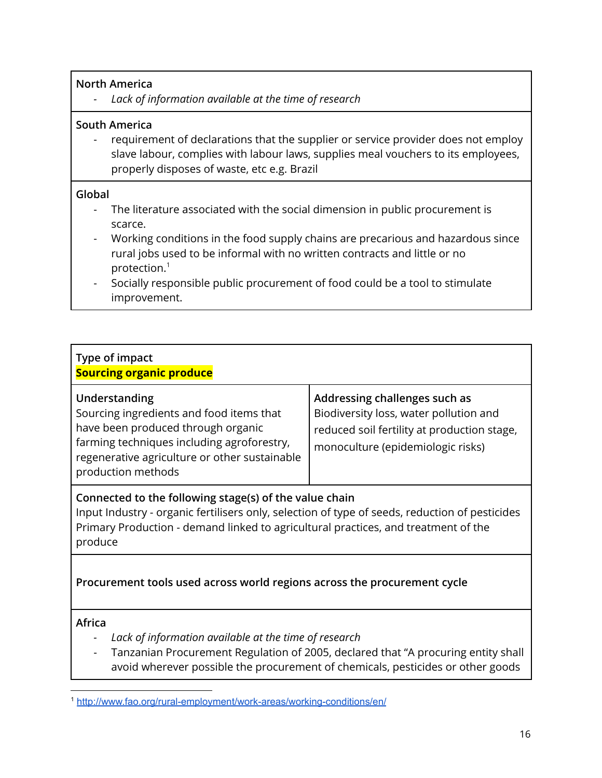#### **North America**

*- Lack of information available at the time of research*

#### **South America**

- requirement of declarations that the supplier or service provider does not employ slave labour, complies with labour laws, supplies meal vouchers to its employees, properly disposes of waste, etc e.g. Brazil

#### **Global**

- The literature associated with the social dimension in public procurement is scarce.
- Working conditions in the food supply chains are precarious and hazardous since rural jobs used to be informal with no written contracts and little or no protection. $^{\rm 1}$
- Socially responsible public procurement of food could be a tool to stimulate improvement.

<span id="page-15-0"></span>

| Type of impact<br><b>Sourcing organic produce</b>                                                                                                                                                                                                                                            |                                                                                                                                                             |  |
|----------------------------------------------------------------------------------------------------------------------------------------------------------------------------------------------------------------------------------------------------------------------------------------------|-------------------------------------------------------------------------------------------------------------------------------------------------------------|--|
| Understanding<br>Sourcing ingredients and food items that<br>have been produced through organic<br>farming techniques including agroforestry,<br>regenerative agriculture or other sustainable<br>production methods                                                                         | Addressing challenges such as<br>Biodiversity loss, water pollution and<br>reduced soil fertility at production stage,<br>monoculture (epidemiologic risks) |  |
| Connected to the following stage(s) of the value chain<br>$\mathcal{L}$ . The contract of the contract of the contract of the contract of the contract of the contract of the contract of the contract of the contract of the contract of the contract of the contract of the contract of th |                                                                                                                                                             |  |

Input Industry - organic fertilisers only, selection of type of seeds, reduction of pesticides Primary Production - demand linked to agricultural practices, and treatment of the produce

## **Procurement tools used across world regions across the procurement cycle**

#### **Africa**

- *- Lack of information available at the time of research*
- Tanzanian Procurement Regulation of 2005, declared that "A procuring entity shall avoid wherever possible the procurement of chemicals, pesticides or other goods

<sup>1</sup> <http://www.fao.org/rural-employment/work-areas/working-conditions/en/>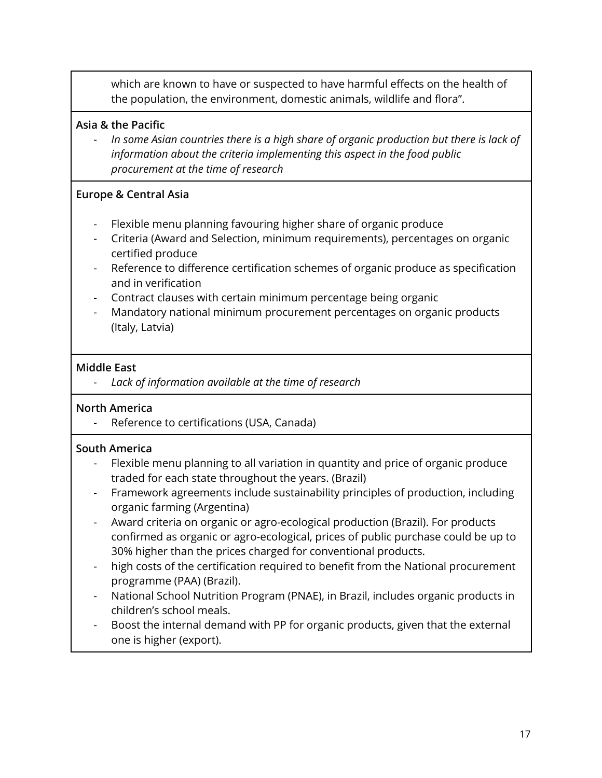which are known to have or suspected to have harmful effects on the health of the population, the environment, domestic animals, wildlife and flora".

### **Asia & the Pacific**

- *In some Asian countries there is a high share of organic production but there is lack of information about the criteria implementing this aspect in the food public procurement at the time of research*

#### **Europe & Central Asia**

- Flexible menu planning favouring higher share of organic produce
- Criteria (Award and Selection, minimum requirements), percentages on organic certified produce
- Reference to difference certification schemes of organic produce as specification and in verification
- Contract clauses with certain minimum percentage being organic
- Mandatory national minimum procurement percentages on organic products (Italy, Latvia)

#### **Middle East**

*- Lack of information available at the time of research*

#### **North America**

- Reference to certifications (USA, Canada)

### **South America**

- Flexible menu planning to all variation in quantity and price of organic produce traded for each state throughout the years. (Brazil)
- Framework agreements include sustainability principles of production, including organic farming (Argentina)
- Award criteria on organic or agro-ecological production (Brazil). For products confirmed as organic or agro-ecological, prices of public purchase could be up to 30% higher than the prices charged for conventional products.
- high costs of the certification required to benefit from the National procurement programme (PAA) (Brazil).
- National School Nutrition Program (PNAE), in Brazil, includes organic products in children's school meals.
- Boost the internal demand with PP for organic products, given that the external one is higher (export).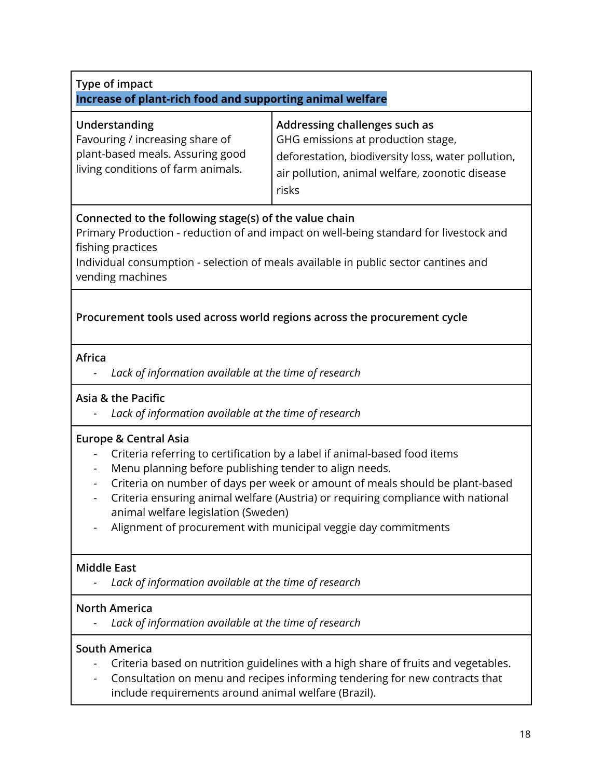<span id="page-17-0"></span>

| Type of impact<br>Increase of plant-rich food and supporting animal welfare                                                       |                                                                                                                                                                                                                                                                                                                 |
|-----------------------------------------------------------------------------------------------------------------------------------|-----------------------------------------------------------------------------------------------------------------------------------------------------------------------------------------------------------------------------------------------------------------------------------------------------------------|
| Understanding<br>Favouring / increasing share of<br>plant-based meals. Assuring good<br>living conditions of farm animals.        | Addressing challenges such as<br>GHG emissions at production stage,<br>deforestation, biodiversity loss, water pollution,<br>air pollution, animal welfare, zoonotic disease<br>risks                                                                                                                           |
| Connected to the following stage(s) of the value chain<br>fishing practices<br>vending machines                                   | Primary Production - reduction of and impact on well-being standard for livestock and<br>Individual consumption - selection of meals available in public sector cantines and                                                                                                                                    |
|                                                                                                                                   | Procurement tools used across world regions across the procurement cycle                                                                                                                                                                                                                                        |
| Africa<br>Lack of information available at the time of research                                                                   |                                                                                                                                                                                                                                                                                                                 |
| Asia & the Pacific<br>Lack of information available at the time of research                                                       |                                                                                                                                                                                                                                                                                                                 |
| <b>Europe &amp; Central Asia</b><br>Menu planning before publishing tender to align needs.<br>animal welfare legislation (Sweden) | Criteria referring to certification by a label if animal-based food items<br>Criteria on number of days per week or amount of meals should be plant-based<br>Criteria ensuring animal welfare (Austria) or requiring compliance with national<br>Alignment of procurement with municipal veggie day commitments |
| <b>Middle East</b><br>Lack of information available at the time of research                                                       |                                                                                                                                                                                                                                                                                                                 |
| <b>North America</b><br>Lack of information available at the time of research                                                     |                                                                                                                                                                                                                                                                                                                 |
| <b>South America</b><br>include requirements around animal welfare (Brazil).                                                      | Criteria based on nutrition guidelines with a high share of fruits and vegetables.<br>Consultation on menu and recipes informing tendering for new contracts that                                                                                                                                               |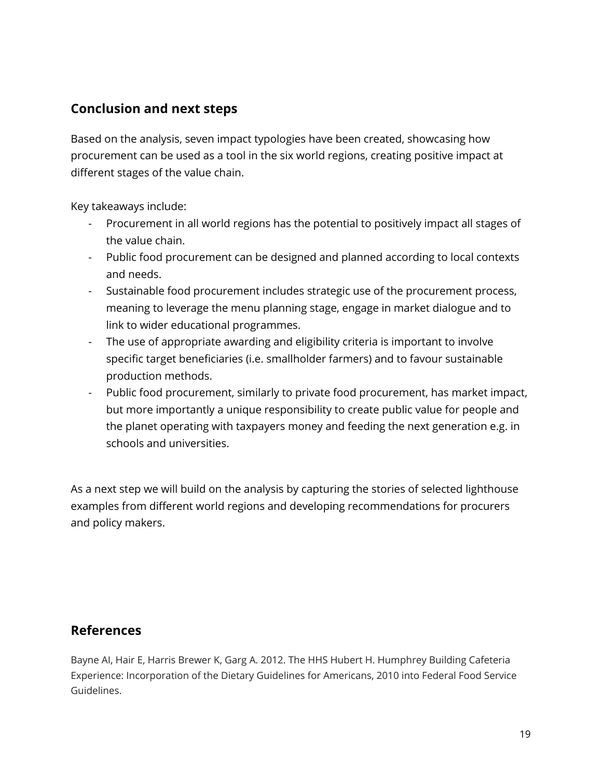# <span id="page-18-0"></span>**Conclusion and next steps**

Based on the analysis, seven impact typologies have been created, showcasing how procurement can be used as a tool in the six world regions, creating positive impact at different stages of the value chain.

Key takeaways include:

- Procurement in all world regions has the potential to positively impact all stages of the value chain.
- Public food procurement can be designed and planned according to local contexts and needs.
- Sustainable food procurement includes strategic use of the procurement process, meaning to leverage the menu planning stage, engage in market dialogue and to link to wider educational programmes.
- The use of appropriate awarding and eligibility criteria is important to involve specific target beneficiaries (i.e. smallholder farmers) and to favour sustainable production methods.
- Public food procurement, similarly to private food procurement, has market impact, but more importantly a unique responsibility to create public value for people and the planet operating with taxpayers money and feeding the next generation e.g. in schools and universities.

As a next step we will build on the analysis by capturing the stories of selected lighthouse examples from different world regions and developing recommendations for procurers and policy makers.

# <span id="page-18-1"></span>**References**

Bayne AI, Hair E, Harris Brewer K, Garg A. 2012. The HHS Hubert H. Humphrey Building Cafeteria Experience: Incorporation of the Dietary Guidelines for Americans, 2010 into Federal Food Service Guidelines.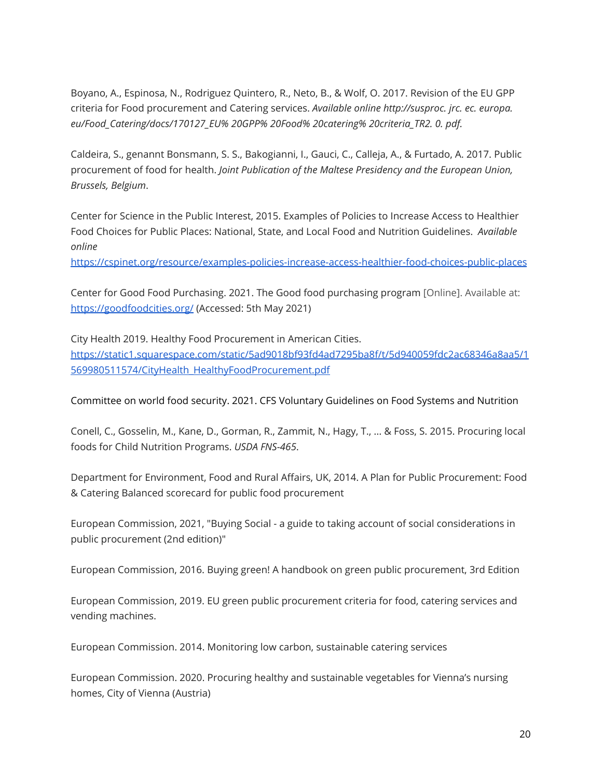Boyano, A., Espinosa, N., Rodriguez Quintero, R., Neto, B., & Wolf, O. 2017. Revision of the EU GPP criteria for Food procurement and Catering services. *Available online http://susproc. jrc. ec. europa. eu/Food\_Catering/docs/170127\_EU% 20GPP% 20Food% 20catering% 20criteria\_TR2. 0. pdf.*

Caldeira, S., genannt Bonsmann, S. S., Bakogianni, I., Gauci, C., Calleja, A., & Furtado, A. 2017. Public procurement of food for health. *Joint Publication of the Maltese Presidency and the European Union, Brussels, Belgium*.

Center for Science in the Public Interest, 2015. Examples of Policies to Increase Access to Healthier Food Choices for Public Places: National, State, and Local Food and Nutrition Guidelines. *Available online*

<https://cspinet.org/resource/examples-policies-increase-access-healthier-food-choices-public-places>

Center for Good Food Purchasing. 2021. The Good food purchasing program [Online]. Available at: <https://goodfoodcities.org/> (Accessed: 5th May 2021)

City Health 2019. Healthy Food Procurement in American Cities. [https://static1.squarespace.com/static/5ad9018bf93fd4ad7295ba8f/t/5d940059fdc2ac68346a8aa5/1](https://static1.squarespace.com/static/5ad9018bf93fd4ad7295ba8f/t/5d940059fdc2ac68346a8aa5/1569980511574/CityHealth_HealthyFoodProcurement.pdf) [569980511574/CityHealth\\_HealthyFoodProcurement.pdf](https://static1.squarespace.com/static/5ad9018bf93fd4ad7295ba8f/t/5d940059fdc2ac68346a8aa5/1569980511574/CityHealth_HealthyFoodProcurement.pdf)

Committee on world food security. 2021. CFS Voluntary Guidelines on Food Systems and Nutrition

Conell, C., Gosselin, M., Kane, D., Gorman, R., Zammit, N., Hagy, T., ... & Foss, S. 2015. Procuring local foods for Child Nutrition Programs. *USDA FNS-465*.

Department for Environment, Food and Rural Affairs, UK, 2014. A Plan for Public Procurement: Food & Catering Balanced scorecard for public food procurement

European Commission, 2021, "Buying Social - a guide to taking account of social considerations in public procurement (2nd edition)"

European Commission, 2016. Buying green! A handbook on green public procurement, 3rd Edition

European Commission, 2019. EU green public procurement criteria for food, catering services and vending machines.

European Commission. 2014. Monitoring low carbon, sustainable catering services

European Commission. 2020. Procuring healthy and sustainable vegetables for Vienna's nursing homes, City of Vienna (Austria)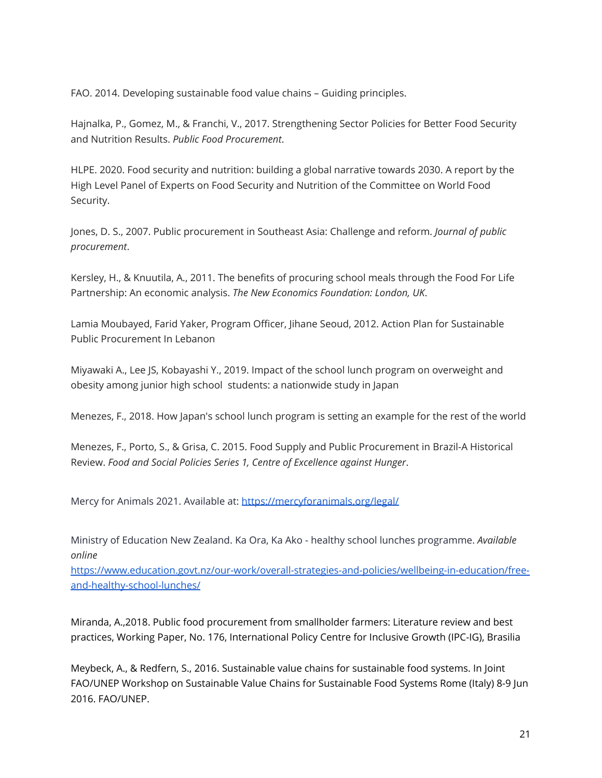FAO. 2014. Developing sustainable food value chains – Guiding principles.

Hajnalka, P., Gomez, M., & Franchi, V., 2017. Strengthening Sector Policies for Better Food Security and Nutrition Results. *Public Food Procurement*.

HLPE. 2020. Food security and nutrition: building a global narrative towards 2030. A report by the High Level Panel of Experts on Food Security and Nutrition of the Committee on World Food Security.

Jones, D. S., 2007. Public procurement in Southeast Asia: Challenge and reform. *Journal of public procurement*.

Kersley, H., & Knuutila, A., 2011. The benefits of procuring school meals through the Food For Life Partnership: An economic analysis. *The New Economics Foundation: London, UK*.

Lamia Moubayed, Farid Yaker, Program Officer, Jihane Seoud, 2012. Action Plan for Sustainable Public Procurement In Lebanon

Miyawaki A., Lee JS, Kobayashi Y., 2019. Impact of the school lunch program on overweight and obesity among junior high school students: a nationwide study in Japan

Menezes, F., 2018. How Japan's school lunch program is setting an example for the rest of the world

Menezes, F., Porto, S., & Grisa, C. 2015. Food Supply and Public Procurement in Brazil-A Historical Review. *Food and Social Policies Series 1, Centre of Excellence against Hunger*.

Mercy for Animals 2021. Available at: <https://mercyforanimals.org/legal/>

Ministry of Education New Zealand. Ka Ora, Ka Ako - healthy school lunches programme. *Available online*

[https://www.education.govt.nz/our-work/overall-strategies-and-policies/wellbeing-in-education/free](https://www.education.govt.nz/our-work/overall-strategies-and-policies/wellbeing-in-education/free-and-healthy-school-lunches/)[and-healthy-school-lunches/](https://www.education.govt.nz/our-work/overall-strategies-and-policies/wellbeing-in-education/free-and-healthy-school-lunches/)

Miranda, A.,2018. Public food procurement from smallholder farmers: Literature review and best practices, Working Paper, No. 176, International Policy Centre for Inclusive Growth (IPC-IG), Brasilia

Meybeck, A., & Redfern, S., 2016. Sustainable value chains for sustainable food systems. In Joint FAO/UNEP Workshop on Sustainable Value Chains for Sustainable Food Systems Rome (Italy) 8-9 Jun 2016. FAO/UNEP.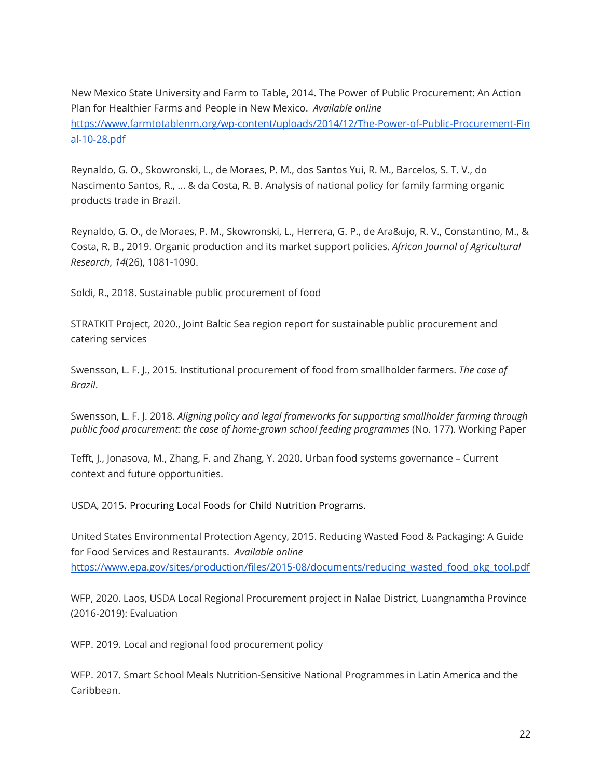New Mexico State University and Farm to Table, 2014. The Power of Public Procurement: An Action Plan for Healthier Farms and People in New Mexico. *Available online* [https://www.farmtotablenm.org/wp-content/uploads/2014/12/The-Power-of-Public-Procurement-Fin](https://www.farmtotablenm.org/wp-content/uploads/2014/12/The-Power-of-Public-Procurement-Final-10-28.pdf) [al-10-28.pdf](https://www.farmtotablenm.org/wp-content/uploads/2014/12/The-Power-of-Public-Procurement-Final-10-28.pdf)

Reynaldo, G. O., Skowronski, L., de Moraes, P. M., dos Santos Yui, R. M., Barcelos, S. T. V., do Nascimento Santos, R., ... & da Costa, R. B. Analysis of national policy for family farming organic products trade in Brazil.

Reynaldo, G. O., de Moraes, P. M., Skowronski, L., Herrera, G. P., de Ara&ujo, R. V., Constantino, M., & Costa, R. B., 2019. Organic production and its market support policies. *African Journal of Agricultural Research*, *14*(26), 1081-1090.

Soldi, R., 2018. Sustainable public procurement of food

STRATKIT Project, 2020., Joint Baltic Sea region report for sustainable public procurement and catering services

Swensson, L. F. J., 2015. Institutional procurement of food from smallholder farmers. *The case of Brazil*.

Swensson, L. F. J. 2018. *Aligning policy and legal frameworks for supporting smallholder farming through public food procurement: the case of home-grown school feeding programmes* (No. 177). Working Paper

Tefft, J., Jonasova, M., Zhang, F. and Zhang, Y. 2020. Urban food systems governance – Current context and future opportunities.

USDA, 2015. Procuring Local Foods for Child Nutrition Programs.

United States Environmental Protection Agency, 2015. Reducing Wasted Food & Packaging: A Guide for Food Services and Restaurants. *Available online* [https://www.epa.gov/sites/production/files/2015-08/documents/reducing\\_wasted\\_food\\_pkg\\_tool.pdf](https://www.epa.gov/sites/production/files/2015-08/documents/reducing_wasted_food_pkg_tool.pdf)

WFP, 2020. Laos, USDA Local Regional Procurement project in Nalae District, Luangnamtha Province (2016-2019): Evaluation

WFP. 2019. Local and regional food procurement policy

WFP. 2017. Smart School Meals Nutrition-Sensitive National Programmes in Latin America and the Caribbean.